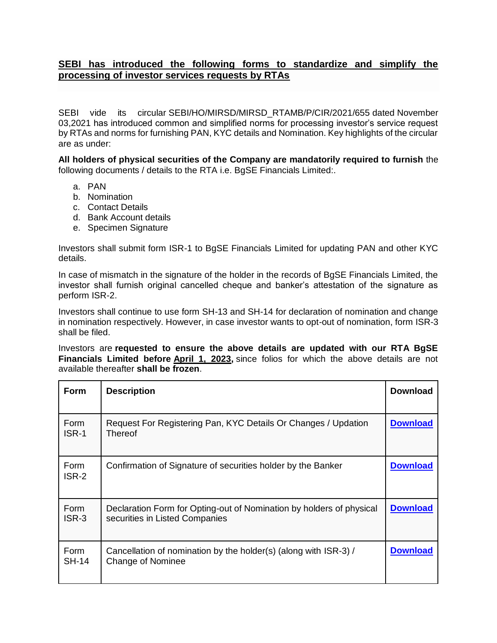## **SEBI has introduced the following forms to standardize and simplify the processing of investor services requests by RTAs**

SEBI vide its circular [SEBI/HO/MIRSD/MIRSD\\_RTAMB/P/CIR/2021/655](https://www.sebi.gov.in/legal/circulars/nov-2021/common-and-simplified-norms-for-processing-investor-s-service-request-by-rtas-and-norms-for-furnishing-pan-kyc-details-and-nomination_53787.html) dated November 03,2021 has introduced common and simplified norms for processing investor's service request by RTAs and norms for furnishing PAN, KYC details and Nomination. Key highlights of the circular are as under:

**All holders of physical securities of the Company are mandatorily required to furnish** the following documents / details to the RTA i.e. BgSE Financials Limited:.

- a. PAN
- b. Nomination
- c. Contact Details
- d. Bank Account details
- e. Specimen Signature

Investors shall submit form ISR-1 to BgSE Financials Limited for updating PAN and other KYC details.

In case of mismatch in the signature of the holder in the records of BgSE Financials Limited, the investor shall furnish original cancelled cheque and banker's attestation of the signature as perform ISR-2.

Investors shall continue to use form SH-13 and SH-14 for declaration of nomination and change in nomination respectively. However, in case investor wants to opt-out of nomination, form ISR-3 shall be filed.

Investors are **requested to ensure the above details are updated with our RTA BgSE Financials Limited before April 1, 2023,** since folios for which the above details are not available thereafter **shall be frozen**.

| <b>Form</b>          | <b>Description</b>                                                                                     | <b>Download</b> |
|----------------------|--------------------------------------------------------------------------------------------------------|-----------------|
| Form<br>ISR-1        | Request For Registering Pan, KYC Details Or Changes / Updation<br>Thereof                              | <b>Download</b> |
| <b>Form</b><br>ISR-2 | Confirmation of Signature of securities holder by the Banker                                           | <b>Download</b> |
| Form<br>ISR-3        | Declaration Form for Opting-out of Nomination by holders of physical<br>securities in Listed Companies | <b>Download</b> |
| Form<br><b>SH-14</b> | Cancellation of nomination by the holder(s) (along with ISR-3) /<br><b>Change of Nominee</b>           | <b>Download</b> |